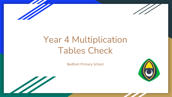



## Year 4 Multiplication Tables Check

Bedfont Primary School



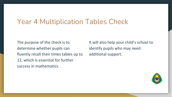### Year 4 Multiplication Tables Check

The purpose of the check is to determine whether pupils can fluently recall their times tables up to 12, which is essential for further success in mathematics.

It will also help your child's school to identify pupils who may need additional support.

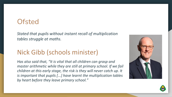### **Ofsted**

*Stated that pupils without instant recall of multiplication tables struggle at maths.*

### Nick Gibb (schools minister)

*Has also said that, "It is vital that all children can grasp and master arithmetic while they are still at primary school. If we fail children at this early stage, the risk is they will never catch up. It is important that pupils [...] have learnt the multiplication tables by heart before they leave primary school."*



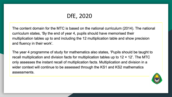#### DfE, 2020

The content domain for the MTC is based on the national curriculum (2014). The national curriculum states, 'By the end of year 4, pupils should have memorised their multiplication tables up to and including the 12 multiplication table and show precision and fluency in their work'.

The year 4 programme of study for mathematics also states, 'Pupils should be taught to recall multiplication and division facts for multiplication tables up to  $12 \times 12$ . The MTC only assesses the instant recall of multiplication facts. Multiplication and division in a wider context will continue to be assessed through the KS1 and KS2 mathematics assessments.

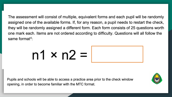The assessment will consist of multiple, equivalent forms and each pupil will be randomly assigned one of the available forms. If, for any reason, a pupil needs to restart the check, they will be randomly assigned a different form. Each form consists of 25 questions worth one mark each. Items are not ordered according to difficulty. Questions will all follow the same format<sup>4</sup>:

## $n1 \times n2 =$



Pupils and schools will be able to access a practice area prior to the check window opening, in order to become familiar with the MTC format.

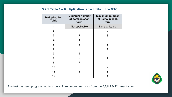#### 5.2.1 Table 1 - Multiplication table limits in the MTC

| <b>Multiplication</b><br><b>Table</b> | <b>Minimum number</b><br>of items in each<br>form | <b>Maximum number</b><br>of items in each<br>form |
|---------------------------------------|---------------------------------------------------|---------------------------------------------------|
| 1                                     | Not applicable                                    | Not applicable                                    |
| 2                                     | O                                                 | $\overline{2}$                                    |
| 3                                     | 1                                                 | 3                                                 |
| 4                                     |                                                   | 3                                                 |
| 5                                     |                                                   | 3                                                 |
| 6                                     | 2                                                 | 4                                                 |
| 7                                     | 2                                                 | 4                                                 |
| 8                                     | 2                                                 | 4                                                 |
| 9                                     | 2                                                 | 4                                                 |
| 10                                    | n                                                 | 2                                                 |
| 11                                    | 1                                                 | 3                                                 |
| 12                                    | 2                                                 | 4                                                 |



The test has been programmed to show children more questions from the 6,7,8,9 & 12 times tables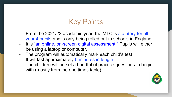### Key Points

- From the 2021/22 academic year, the MTC is statutory for all year 4 pupils and is only being rolled out to schools in England
- It is "an online, on-screen digital assessment." Pupils will either be using a laptop or computer.
- The program will automatically mark each child's test
- It will last approximately 5 minutes in length
- The children will be set a handful of practice questions to begin with (mostly from the one times table).

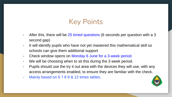### Key Points

- After this, there will be 25 timed questions (6 seconds per question with a 3 second gap)
- It will identify pupils who have not yet mastered this mathematical skill so schools can give them additional support
- Check window opens on Monday 6 June for a 3-week period.
- We will be choosing when to sit this during the 3 week period.
- Pupils should use the try it out area with the devices they will use, with any access arrangements enabled, to ensure they are familiar with the check.
- Mainly based on 6 7 8 9 & 12 times tables.

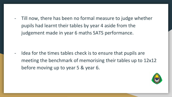- Till now, there has been no formal measure to judge whether pupils had learnt their tables by year 4 aside from the judgement made in year 6 maths SATS performance.

- Idea for the times tables check is to ensure that pupils are meeting the benchmark of memorising their tables up to 12x12 before moving up to year 5 & year 6.

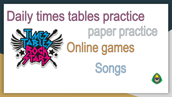# Daily times tables practice



paper practice Online games



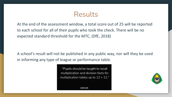### Results

At the end of the assessment window, a total score out of 25 will be reported to each school for all of their pupils who took the check. There will be no expected standard threshold for the MTC, (DfE, 2018)

A school's result will not be published in any public way, nor will they be used in informing any type of league or performance table.

> "Pupils should be taught to recall multiplication and division facts for multiplication tables up to  $12 \times 12$ ."



**GOV.UK**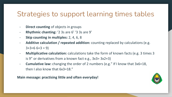### Strategies to support learning times tables

- **Direct counting** of objects in groups
- **Rhythmic chanting:** '2 3s are 6' '3 3s are 9'
- **Skip counting in multiples:** 2, 4, 6, 8
- **Additive calculation / repeated addition:** counting replaced by calculations (e.g.  $3+3=6$  6+3 = 9)
- **Multiplicative calculation:** calculations take the form of known facts (e.g. 3 times 3 is 9" or derivatives from a known fact e.g., 3x3= 3x2+3)
- **Cumulative law:** changing the order of 2 numbers (e.g." If I know that 3x6=18, then I also know that 6x3=18."

**Main message: practising little and often everyday!** 

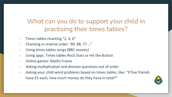### What can you do to support your child in practising their times tables?

- Times tables chanting "2, 4, 6"
- Chanting in reverse order: '99, 88, 77 …"
- Using times tables songs (BBC movies)
- Using apps: Times tables Rock Stars or Hit the Button
- Online games: Maths Frame
- Asking multiplication and division questions out of order
- Asking your child word problems based on times tables, like: "If five friends have £5 each, how much money do they have in total?"

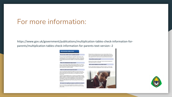#### For more information:

https://www.gov.uk/government/publications/multiplication-tables-check-information-forparents/multiplication-tables-check-information-for-parents-text-version--2

#### **Multiplication tables check**

#### Do you have a child in year 4 at primary school?

If so, your child will be participating in the multiplication tables check in June

The purpose of the check is to determine whether your child can fluently recall their times tables up to 12, which is essential for future success in mathematics. It will also help your child's school to identify if your child may need additional support

#### What is the Multiplication tables check?

It is an on-screen check consisting of 25 times table questions. Your child will be able to answer 3 practice questions before taking the actual check. They will then have 6 seconds to answer each question. On average, the check should take no longer than 5 minutes to complete

#### What if my child cannot access the check?

There are several access arrangements available for the check, these can be used to support pupils with specific needs. Your child's teacher will ensure that the access arrangements are appropriate for your child before they take the check in June.

The check has been designed so that it is inclusive and accessible to as many children as possible, including those with special educational needs or disability (SEND) or English as an additional language (EAL). However, there may be some circumstances in which it will not be appropriate for a pupil to take the check, even when using suitable access arrangements. If you have any concerns about your child accessing the check, you should discuss this with your child's headteacher.

#### Do I need to do anything to prepare my child for the check?

No, you do not need to do anything additional to prepare your child for the check. As part of usual practice, teachers may ask you to practise times tables with your child.

Schools will have unlimited access to a try it out area from March. They can use this to make sure pupils have the necessary support required to access the check. This includes opportunities for pupils to familiarise themselves with the check application and try out any access arrangements that may be required.

#### How will the results be used?

Schools will have access to all their pupils' results, allowing those pupils who need additional support to be identified.

#### Will I receive feedback on my child's check?

Yes. Your child's teacher will share your child's score with you, as they would with all national curriculum assessments. There is no pass mark for the check.